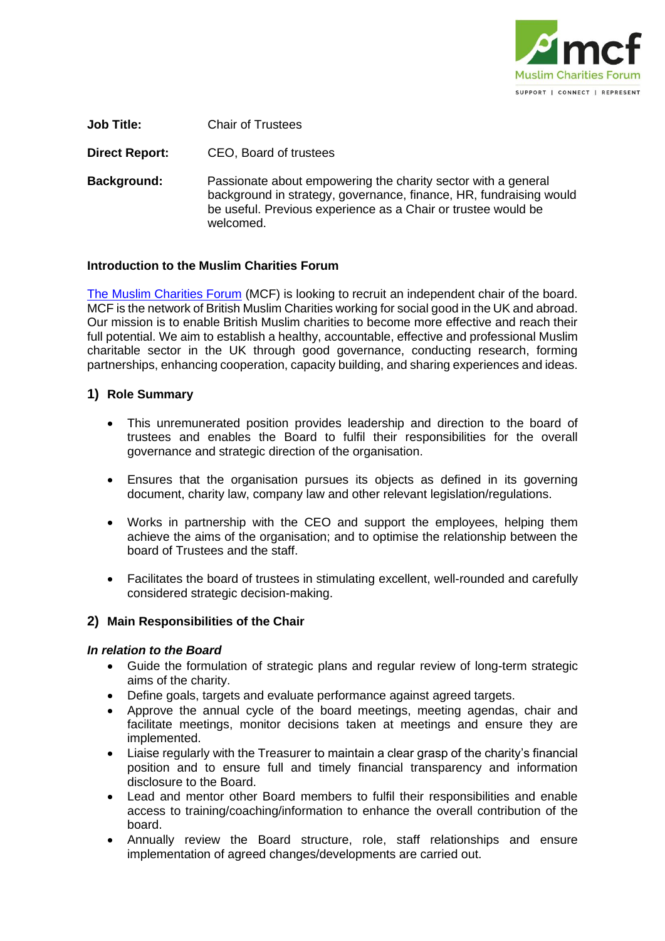

**Job Title:** Chair of Trustees

**Direct Report:** CEO, Board of trustees

**Background:** Passionate about empowering the charity sector with a general background in strategy, governance, finance, HR, fundraising would be useful. Previous experience as a Chair or trustee would be welcomed.

### **Introduction to the Muslim Charities Forum**

[The Muslim Charities Forum](https://www.muslimcharitiesforum.org.uk/) (MCF) is looking to recruit an independent chair of the board. MCF is the network of British Muslim Charities working for social good in the UK and abroad. Our mission is to enable British Muslim charities to become more effective and reach their full potential. We aim to establish a healthy, accountable, effective and professional Muslim charitable sector in the UK through good governance, conducting research, forming partnerships, enhancing cooperation, capacity building, and sharing experiences and ideas.

### **1) Role Summary**

- This unremunerated position provides leadership and direction to the board of trustees and enables the Board to fulfil their responsibilities for the overall governance and strategic direction of the organisation.
- Ensures that the organisation pursues its objects as defined in its governing document, charity law, company law and other relevant legislation/regulations.
- Works in partnership with the CEO and support the employees, helping them achieve the aims of the organisation; and to optimise the relationship between the board of Trustees and the staff.
- Facilitates the board of trustees in stimulating excellent, well-rounded and carefully considered strategic decision-making.

### **2) Main Responsibilities of the Chair**

### *In relation to the Board*

- Guide the formulation of strategic plans and regular review of long-term strategic aims of the charity.
- Define goals, targets and evaluate performance against agreed targets.
- Approve the annual cycle of the board meetings, meeting agendas, chair and facilitate meetings, monitor decisions taken at meetings and ensure they are implemented.
- Liaise regularly with the Treasurer to maintain a clear grasp of the charity's financial position and to ensure full and timely financial transparency and information disclosure to the Board.
- Lead and mentor other Board members to fulfil their responsibilities and enable access to training/coaching/information to enhance the overall contribution of the board.
- Annually review the Board structure, role, staff relationships and ensure implementation of agreed changes/developments are carried out.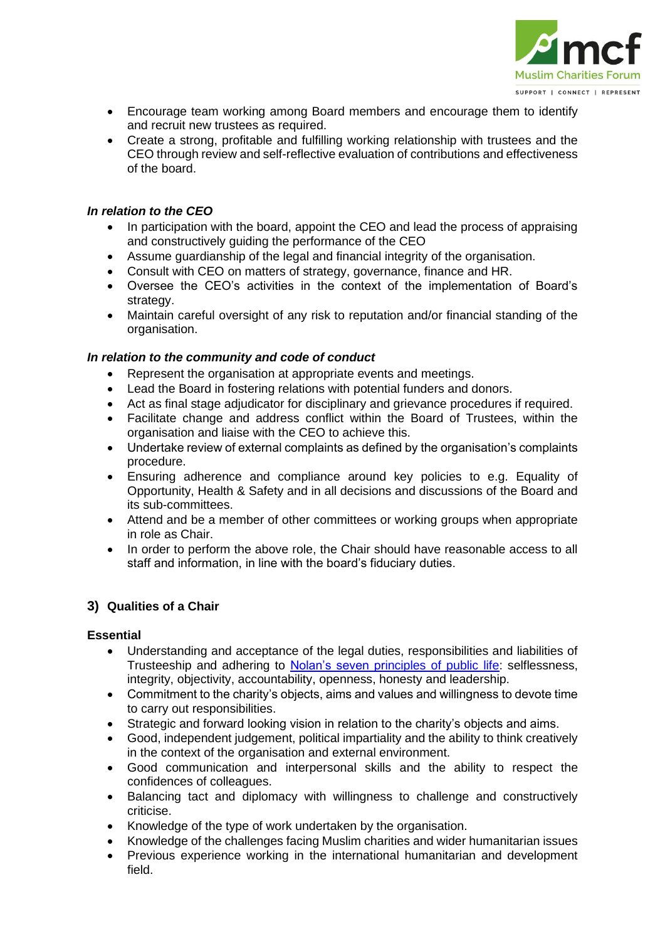

- Encourage team working among Board members and encourage them to identify and recruit new trustees as required.
- Create a strong, profitable and fulfilling working relationship with trustees and the CEO through review and self-reflective evaluation of contributions and effectiveness of the board.

# *In relation to the CEO*

- In participation with the board, appoint the CEO and lead the process of appraising and constructively guiding the performance of the CEO
- Assume guardianship of the legal and financial integrity of the organisation.
- Consult with CEO on matters of strategy, governance, finance and HR.
- Oversee the CEO's activities in the context of the implementation of Board's strategy.
- Maintain careful oversight of any risk to reputation and/or financial standing of the organisation.

## *In relation to the community and code of conduct*

- Represent the organisation at appropriate events and meetings.
- Lead the Board in fostering relations with potential funders and donors.
- Act as final stage adjudicator for disciplinary and grievance procedures if required.
- Facilitate change and address conflict within the Board of Trustees, within the organisation and liaise with the CEO to achieve this.
- Undertake review of external complaints as defined by the organisation's complaints procedure.
- Ensuring adherence and compliance around key policies to e.g. Equality of Opportunity, Health & Safety and in all decisions and discussions of the Board and its sub-committees.
- Attend and be a member of other committees or working groups when appropriate in role as Chair.
- In order to perform the above role, the Chair should have reasonable access to all staff and information, in line with the board's fiduciary duties.

# **3) Qualities of a Chair**

## **Essential**

- Understanding and acceptance of the legal duties, responsibilities and liabilities of Trusteeship and adhering to [Nolan's seven principles of public life:](https://www.gov.uk/government/publications/the-7-principles-of-public-life/the-7-principles-of-public-life--2) selflessness, integrity, objectivity, accountability, openness, honesty and leadership.
- Commitment to the charity's objects, aims and values and willingness to devote time to carry out responsibilities.
- Strategic and forward looking vision in relation to the charity's objects and aims.
- Good, independent judgement, political impartiality and the ability to think creatively in the context of the organisation and external environment.
- Good communication and interpersonal skills and the ability to respect the confidences of colleagues.
- Balancing tact and diplomacy with willingness to challenge and constructively criticise.
- Knowledge of the type of work undertaken by the organisation.
- Knowledge of the challenges facing Muslim charities and wider humanitarian issues
- Previous experience working in the international humanitarian and development field.